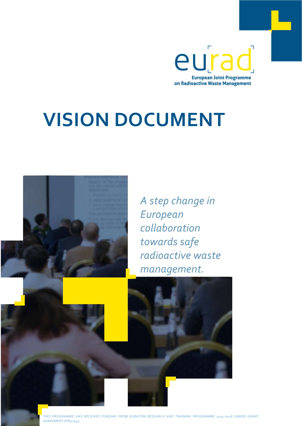eurad **European Joint Programme** on Radioactive Waste Management

# VISION DOCUMENT



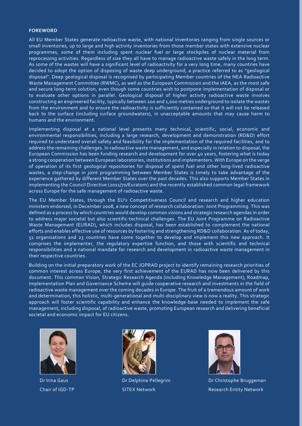#### FOREWORD

All EU Member States generate radioactive waste, with national inventories ranging from single sources or small inventories, up to large and high activity inventories from those member states with extensive nuclear programmes, some of them including spent nuclear fuel or large stockpiles of nuclear material from reprocessing activities. Regardless of size they all have to manage radioactive waste safely in the long term. As some of the wastes will have a significant level of radioactivity for a very long time, many countries have decided to adopt the option of disposing of waste deep underground, a practice referred to as "geological disposal". Deep geological disposal is recognised by participating Member countries of the NEA Radioactive Waste Management Committee (RWMC), as well as the European Commission and the IAEA, as the most safe and secure long-term solution, even though some countries wish to postpone implementation of disposal or to evaluate other options in parallel. Geological disposal of higher activity radioactive waste involves constructing an engineered facility, typically between 200 and 1,000 metres underground to isolate the wastes from the environment and to ensure the radioactivity is sufficiently contained so that it will not be released back to the surface (including surface groundwaters), in unacceptable amounts that may cause harm to humans and the environment.

Implementing disposal at a national level presents many technical, scientific, social, economic and environmental responsibilities, including a large research, development and demonstration (RD&D) effort required to understand overall safety and feasibility for the implementation of the required facilities, and to address the remaining challenges. In radioactive waste management, and especially in relation to disposal, the European Commission has been funding research and development for over 40 years, fostering what is today a strong cooperation between European laboratories, institutions and implementers. With Europe on the verge of operation of its first geological repositories for disposal of spent fuel and other long-lived radioactive wastes, a step-change in joint programming between Member States is timely to take advantage of the experience gathered by different Member States over the past decades. This also supports Member States in implementing the Council Directive (2011/70/Euratom) and the recently established common legal framework across Europe for the safe management of radioactive waste.

The EU Member States, through the EU's Competitiveness Council and research and higher education ministers endorsed, in December 2008, a new concept of research collaboration: Joint Programming. This was defined as a process by which countries would develop common visions and strategic research agendas in order to address major societal but also scientific-technical challenges. The EU Joint Programme on Radioactive Waste Management (EURAD), which includes disposal, has been established to complement the national efforts and enables effective use of resources by fostering and strengthening RD&D collaboration. As of today, 51 organisations and 23 countries have come together to develop and implement this new approach. It comprises the implementer, the regulatory expertise function, and those with scientific and technical responsibilities and a national mandate for research and development in radioactive waste management in their respective countries.

Building on the initial preparatory work of the EC JOPRAD project to identify remaining research priorities of common interest across Europe, the very first achievement of the EURAD has now been delivered by this document. This common Vision, Strategic Research Agenda (including Knowledge Management), Roadmap, Implementation Plan and Governance Scheme will guide cooperative research and investments in the field of radioactive waste management over the coming decades in Europe. The fruit of a tremendous amount of work and determination, this holistic, multi-generational and multi-disciplinary view is now a reality. This strategic approach will foster scientific capability and enhance the knowledge-base needed to implement the safe management, including disposal, of radioactive waste, promoting European research and delivering beneficial societal and economic impact for EU citizens.







Dr Irina Gaus Dr Delphine Pellegrini Dr Christophe Bruggeman Chair of IGD-TP SITEX Network Research Entity Network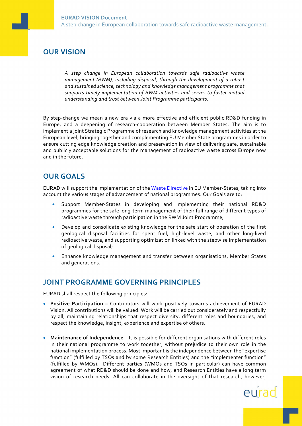# OUR VISION

A step change in European collaboration towards safe radioactive waste management (RWM), including disposal, through the development of a robust and sustained science, technology and knowledge management programme that supports timely implementation of RWM activities and serves to foster mutual understanding and trust between Joint Programme participants.

By step-change we mean a new era via a more effective and efficient public RD&D funding in Europe, and a deepening of research-cooperation between Member States. The aim is to implement a joint Strategic Programme of research and knowledge management activities at the European level, bringing together and complementing EU Member State programmes in order to ensure cutting edge knowledge creation and preservation in view of delivering safe, sustainable and publicly acceptable solutions for the management of radioactive waste across Europe now and in the future.

## OUR GOALS

EURAD will support the implementation of the Waste Directive in EU Member-States, taking into account the various stages of advancement of national programmes. Our Goals are to:

- Support Member-States in developing and implementing their national RD&D programmes for the safe long-term management of their full range of different types of radioactive waste through participation in the RWM Joint Programme;
- Develop and consolidate existing knowledge for the safe start of operation of the first geological disposal facilities for spent fuel, high-level waste, and other long-lived radioactive waste, and supporting optimization linked with the stepwise implementation of geological disposal;
- Enhance knowledge management and transfer between organisations, Member States and generations.

### JOINT PROGRAMME GOVERNING PRINCIPLES

EURAD shall respect the following principles:

- Positive Participation Contributors will work positively towards achievement of EURAD Vision. All contributions will be valued. Work will be carried out considerately and respectfully by all, maintaining relationships that respect diversity, different roles and boundaries, and respect the knowledge, insight, experience and expertise of others.
- Maintenance of Independence It is possible for different organisations with different roles in their national programme to work together, without prejudice to their own role in the national implementation process. Most important is the independence between the "expertise function" (fulfilled by TSOs and by some Research Entities) and the "implementer function" (fulfilled by WMOs). Different parties (WMOs and TSOs in particular) can have common agreement of what RD&D should be done and how, and Research Entities have a long term vision of research needs. All can collaborate in the oversight of that research, however,

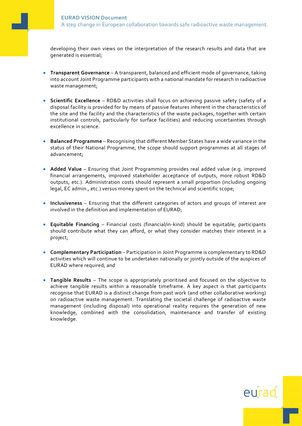developing their own views on the interpretation of the research results and data that are generated is essential;

- **Transparent Governance** A transparent, balanced and efficient mode of governance, taking into account Joint Programme participants with a national mandate for research in radioactive waste management;
- Scientific Excellence RD&D activities shall focus on achieving passive safety (safety of a disposal facility is provided for by means of passive features inherent in the characteristics of the site and the facility and the characteristics of the waste packages, together with certain institutional controls, particularly for surface facilities) and reducing uncertainties through excellence in science.
- Balanced Programme Recognising that different Member States have a wide variance in the status of their National Programme, the scope should support programmes at all stages of advancement;
- Added Value Ensuring that Joint Programming provides real added value (e.g. improved financial arrangements, improved stakeholder acceptance of outputs, more robust RD&D outputs, etc.). Administration costs should represent a small proportion (including ongoing legal, EC admin., etc.) versus money spent on the technical and scientific scope;
- Inclusiveness Ensuring that the different categories of actors and groups of interest are involved in the definition and implementation of EURAD;
- Equitable Financing Financial costs (financial/in-kind) should be equitable; participants should contribute what they can afford, or what they consider matches their interest in a project;
- Complementary Participation Participation in Joint Programme is complementary to RD&D activities which will continue to be undertaken nationally or jointly outside of the auspices of EURAD where required; and
- Tangible Results The scope is appropriately prioritised and focused on the objective to achieve tangible results within a reasonable timeframe. A key aspect is that participants recognise that EURAD is a distinct change from past work (and other collaborative working) on radioactive waste management. Translating the societal challenge of radioactive waste management (including disposal) into operational reality requires the generation of new knowledge, combined with the consolidation, maintenance and transfer of existing knowledge.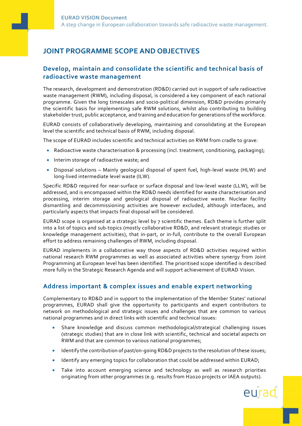# JOINT PROGRAMME SCOPE AND OBJECTIVES

#### Develop, maintain and consolidate the scientific and technical basis of radioactive waste management

The research, development and demonstration (RD&D) carried out in support of safe radioactive waste management (RWM), including disposal, is considered a key component of each national programme. Given the long timescales and socio-political dimension, RD&D provides primarily the scientific basis for implementing safe RWM solutions, whilst also contributing to building stakeholder trust, public acceptance, and training and education for generations of the workforce.

EURAD consists of collaboratively developing, maintaining and consolidating at the European level the scientific and technical basis of RWM, including disposal.

The scope of EURAD includes scientific and technical activities on RWM from cradle to grave:

- Radioactive waste characterisation & processing (incl. treatment, conditioning, packaging);
- **Interim storage of radioactive waste; and**
- Disposal solutions Mainly geological disposal of spent fuel, high-level waste (HLW) and long-lived intermediate level waste (ILW).

Specific RD&D required for near-surface or surface disposal and low-level waste (LLW), will be addressed, and is encompassed within the RD&D needs identified for waste characterisation and processing, interim storage and geological disposal of radioactive waste. Nuclear facility dismantling and decommissioning activities are however excluded, although interfaces, and particularly aspects that impacts final disposal will be considered.

EURAD scope is organised at a strategic level by 7 scientific themes. Each theme is further split into a list of topics and sub-topics (mostly collaborative RD&D, and relevant strategic studies or knowledge management activities), that in-part, or in-full, contribute to the overall European effort to address remaining challenges of RWM, including disposal.

EURAD implements in a collaborative way those aspects of RD&D activities required within national research RWM programmes as well as associated activities where synergy from Joint Programming at European level has been identified. The prioritised scope identified is described more fully in the Strategic Research Agenda and will support achievement of EURAD Vision.

#### Address important & complex issues and enable expert networking

Complementary to RD&D and in support to the implementation of the Member States' national programmes, EURAD shall give the opportunity to participants and expert contributors to network on methodological and strategic issues and challenges that are common to various national programmes and in direct links with scientific and technical issues:

- Share knowledge and discuss common methodological/strategical challenging issues (strategic studies) that are in close link with scientific, technical and societal aspects on RWM and that are common to various national programmes;
- Identify the contribution of past/on-going RD&D projects to the resolution of these issues;
- Identify any emerging topics for collaboration that could be addressed within EURAD;
- Take into account emerging science and technology as well as research priorities originating from other programmes (e.g. results from H2020 projects or IAEA outputs).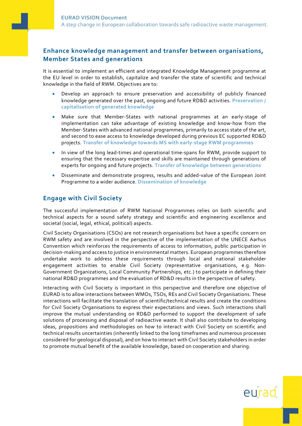#### Enhance knowledge management and transfer between organisations, Member States and generations

It is essential to implement an efficient and integrated Knowledge Management programme at the EU level in order to establish, capitalize and transfer the state of scientific and technical knowledge in the field of RWM. Objectives are to:

- Develop an approach to ensure preservation and accessibility of publicly financed knowledge generated over the past, ongoing and future RD&D activities. Preservation / capitalisation of generated knowledge
- Make sure that Member-States with national programmes at an early-stage of implementation can take advantage of existing knowledge and know-how from the Member-States with advanced national programmes, primarily to access state of the art, and second to ease access to knowledge developed during previous EC supported RD&D projects. Transfer of knowledge towards MS with early-stage RWM programmes
- In view of the long lead-times and operational time-spans for RWM, provide support to ensuring that the necessary expertise and skills are maintained through generations of experts for ongoing and future projects. Transfer of knowledge between generations
- Disseminate and demonstrate progress, results and added-value of the European Joint Programme to a wider audience. Dissemination of knowledge

#### Engage with Civil Society

The successful implementation of RWM National Programmes relies on both scientific and technical aspects for a sound safety strategy and scientific and engineering excellence and societal (social, legal, ethical, political) aspects.

Civil Society Organisations (CSOs) are not research organisations but have a specific concern on RWM safety and are involved in the perspective of the implementation of the UNECE Aarhus Convention which reinforces the requirements of access to information, public participation in decision-making and access to justice in environmental matters. European programmes therefore undertake work to address these requirements through local and national stakeholder engagement activities to enable Civil Society (representative organisations, e.g. Non-Government Organizations, Local Community Partnerships, etc.) to participate in defining their national RD&D programmes and the evaluation of RD&D results in the perspective of safety.

Interacting with Civil Society is important in this perspective and therefore one objective of EURAD is to allow interactions between WMOs, TSOs, REs and Civil Society Organisations. These interactions will facilitate the translation of scientific/technical results and create the conditions for Civil Society Organisations to express their expectations and views. Such interactions shall improve the mutual understanding on RD&D performed to support the development of safe solutions of processing and disposal of radioactive waste. It shall also contribute to developing ideas, propositions and methodologies on how to interact with Civil Society on scientific and technical results uncertainties (inherently linked to the long timeframes and numerous processes considered for geological disposal), and on how to interact with Civil Society stakeholders in order to promote mutual benefit of the available knowledge, based on cooperation and sharing.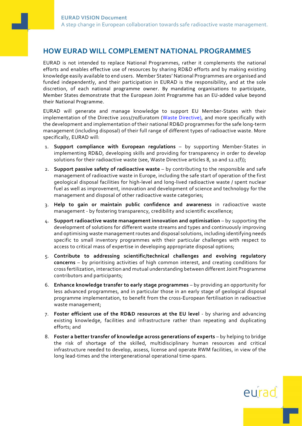# HOW EURAD WILL COMPLEMENT NATIONAL PROGRAMMES

EURAD is not intended to replace National Programmes, rather it complements the national efforts and enables effective use of resources by sharing RD&D efforts and by making existing knowledge easily available to end users. Member States' National Programmes are organised and funded independently, and their participation in EURAD is the responsibility, and at the sole discretion, of each national programme owner. By mandating organisations to participate, Member States demonstrate that the European Joint Programme has an EU-added value beyond their National Programme.

EURAD will generate and manage knowledge to support EU Member-States with their implementation of the Directive 2011/70/Euratom (Waste Directive), and more specifically with the development and implementation of their national RD&D programmes for the safe long-term management (including disposal) of their full range of different types of radioactive waste. More specifically, EURAD will:

- 1. Support compliance with European regulations by supporting Member-States in implementing RD&D, developing skills and providing for transparency in order to develop solutions for their radioactive waste (see, Waste Directive articles 8, 10 and 12.1(f));
- 2. Support passive safety of radioactive waste by contributing to the responsible and safe management of radioactive waste in Europe, including the safe start of operation of the first geological disposal facilities for high-level and long-lived radioactive waste / spent nuclear fuel as well as improvement, innovation and development of science and technology for the management and disposal of other radioactive waste categories;
- 3. Help to gain or maintain public confidence and awareness in radioactive waste management - by fostering transparency, credibility and scientific excellence;
- 4. Support radioactive waste management innovation and optimisation by supporting the development of solutions for different waste streams and types and continuously improving and optimising waste management routes and disposal solutions, including identifying needs specific to small inventory programmes with their particular challenges with respect to access to critical mass of expertise in developing appropriate disposal options;
- 5. Contribute to addressing scientific/technical challenges and evolving regulatory concerns – by prioritising activities of high common interest, and creating conditions for cross fertilization, interaction and mutual understanding between different Joint Programme contributors and participants;
- 6. Enhance knowledge transfer to early stage programmes by providing an opportunity for less advanced programmes, and in particular those in an early stage of geological disposal programme implementation, to benefit from the cross-European fertilisation in radioactive waste management;
- 7. Foster efficient use of the RD&D resources at the EU level by sharing and advancing existing knowledge, facilities and infrastructure rather than repeating and duplicating efforts; and
- 8. Foster a better transfer of knowledge across generations of experts by helping to bridge the risk of shortage of the skilled, multidisciplinary human resources and critical infrastructure needed to develop, assess, license and operate RWM facilities, in view of the long lead-times and the intergenerational operational time-spans.